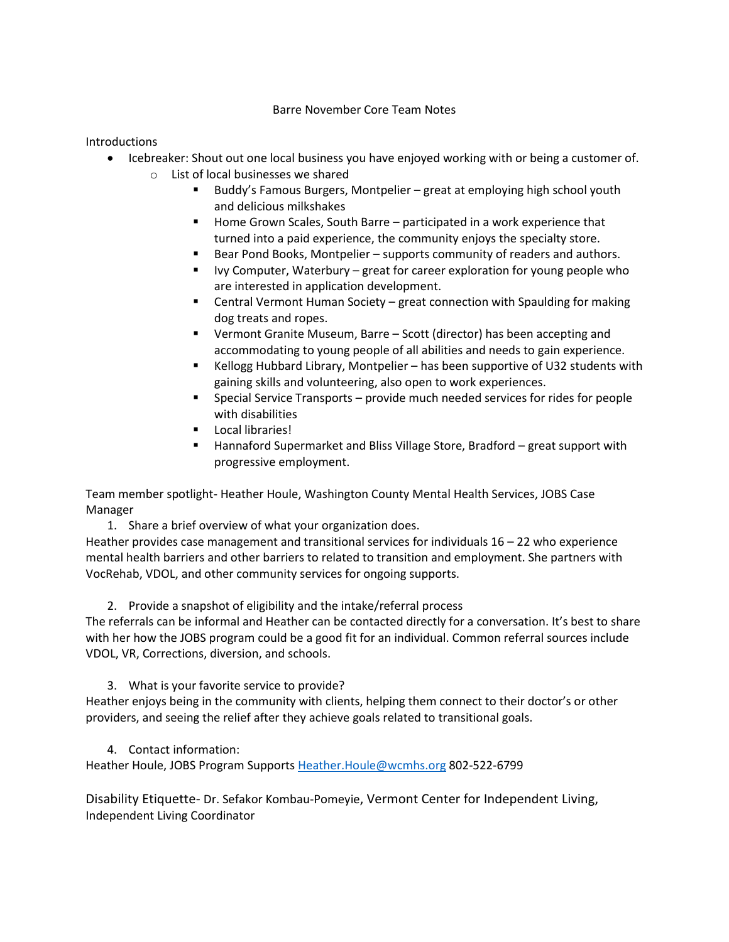## Barre November Core Team Notes

Introductions

- Icebreaker: Shout out one local business you have enjoyed working with or being a customer of. o List of local businesses we shared
	- Buddy's Famous Burgers, Montpelier great at employing high school youth and delicious milkshakes
	- Home Grown Scales, South Barre participated in a work experience that turned into a paid experience, the community enjoys the specialty store.
	- Bear Pond Books, Montpelier supports community of readers and authors.
	- Ivy Computer, Waterbury great for career exploration for young people who are interested in application development.
	- Central Vermont Human Society great connection with Spaulding for making dog treats and ropes.
	- Vermont Granite Museum, Barre Scott (director) has been accepting and accommodating to young people of all abilities and needs to gain experience.
	- Kellogg Hubbard Library, Montpelier has been supportive of U32 students with gaining skills and volunteering, also open to work experiences.
	- Special Service Transports provide much needed services for rides for people with disabilities
	- Local libraries!
	- Hannaford Supermarket and Bliss Village Store, Bradford great support with progressive employment.

Team member spotlight- Heather Houle, Washington County Mental Health Services, JOBS Case Manager

1. Share a brief overview of what your organization does.

Heather provides case management and transitional services for individuals 16 – 22 who experience mental health barriers and other barriers to related to transition and employment. She partners with VocRehab, VDOL, and other community services for ongoing supports.

2. Provide a snapshot of eligibility and the intake/referral process

The referrals can be informal and Heather can be contacted directly for a conversation. It's best to share with her how the JOBS program could be a good fit for an individual. Common referral sources include VDOL, VR, Corrections, diversion, and schools.

3. What is your favorite service to provide?

Heather enjoys being in the community with clients, helping them connect to their doctor's or other providers, and seeing the relief after they achieve goals related to transitional goals.

4. Contact information:

Heather Houle, JOBS Program Supports Heather. Houle@wcmhs.org 802-522-6799

Disability Etiquette- Dr. Sefakor Kombau-Pomeyie, Vermont Center for Independent Living, Independent Living Coordinator